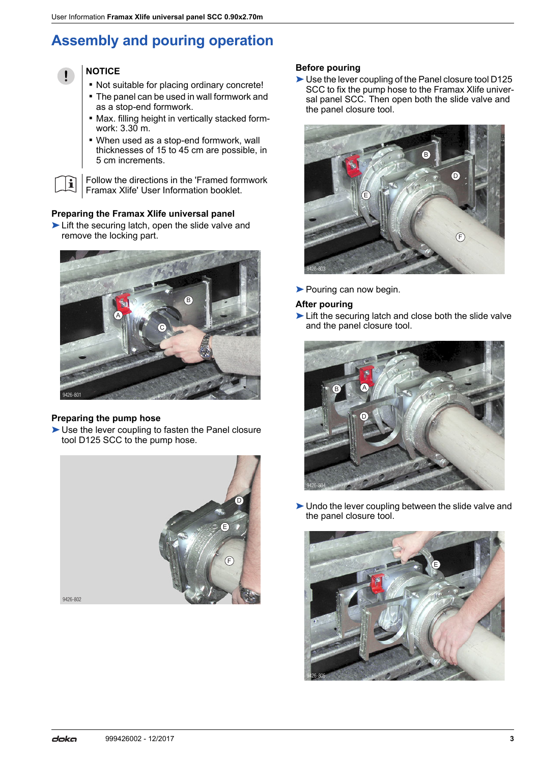# **Assembly and pouring operation**

#### **NOTICE**  $\mathbf{I}$

 $\mathbf{i}$ 

- Not suitable for placing ordinary concrete!
- The panel can be used in wall formwork and as a stop-end formwork.
- Max. filling height in vertically stacked formwork: 3.30 m.
- When used as a stop-end formwork, wall thicknesses of 15 to 45 cm are possible, in 5 cm increments.

Follow the directions in the 'Framed formwork Framax Xlife' User Information booklet.

### **Preparing the Framax Xlife universal panel**

► Lift the securing latch, open the slide valve and remove the locking part.



#### **Preparing the pump hose**

➤Use the lever coupling to fasten the Panel closure tool D125 SCC to the pump hose.



#### **Before pouring**

► Use the lever coupling of the Panel closure tool D125 SCC to fix the pump hose to the Framax Xlife universal panel SCC. Then open both the slide valve and the panel closure tool.



▶ Pouring can now begin.

### **After pouring**

► Lift the securing latch and close both the slide valve and the panel closure tool.



► Undo the lever coupling between the slide valve and the panel closure tool.

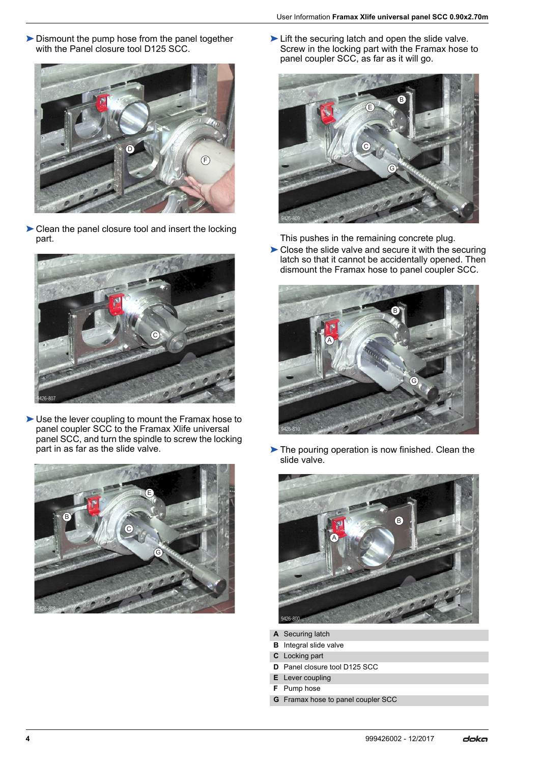▶ Dismount the pump hose from the panel together with the Panel closure tool D125 SCC.



▶ Clean the panel closure tool and insert the locking part.



➤Use the lever coupling to mount the Framax hose to panel coupler SCC to the Framax Xlife universal panel SCC, and turn the spindle to screw the locking part in as far as the slide valve.



► Lift the securing latch and open the slide valve. Screw in the locking part with the Framax hose to panel coupler SCC, as far as it will go.



This pushes in the remaining concrete plug.

➤Close the slide valve and secure it with the securing latch so that it cannot be accidentally opened. Then dismount the Framax hose to panel coupler SCC.



▶ The pouring operation is now finished. Clean the slide valve.



- **A** Securing latch
- **B** Integral slide valve
- **C** Locking part
- **D** Panel closure tool D125 SCC
- **E** Lever coupling
- **F** Pump hose
- **G** Framax hose to panel coupler SCC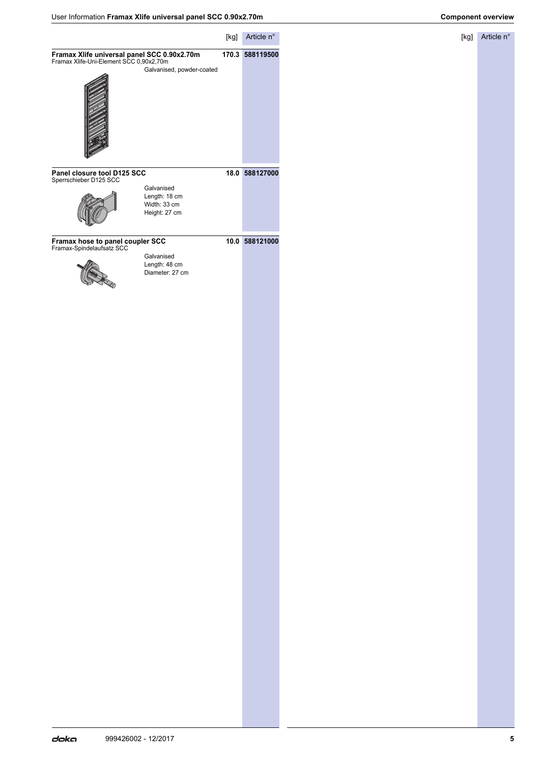[kg] Article n°

|                                                                                        |                                                              | [kg] | Article n°      |
|----------------------------------------------------------------------------------------|--------------------------------------------------------------|------|-----------------|
| Framax Xlife universal panel SCC 0.90x2.70m<br>Framax Xlife-Uni-Element SCC 0,90x2,70m | Galvanised, powder-coated                                    |      | 170.3 588119500 |
| Panel closure tool D125 SCC<br>Sperrschieber D125 SCC                                  | Galvanised<br>Length: 18 cm<br>Width: 33 cm<br>Height: 27 cm |      | 18.0 588127000  |
| Framax hose to panel coupler SCC<br>Framax-Spindelaufsatz SCC                          | Galvanised<br>Length: 48 cm<br>Diameter: 27 cm               |      | 10.0 588121000  |